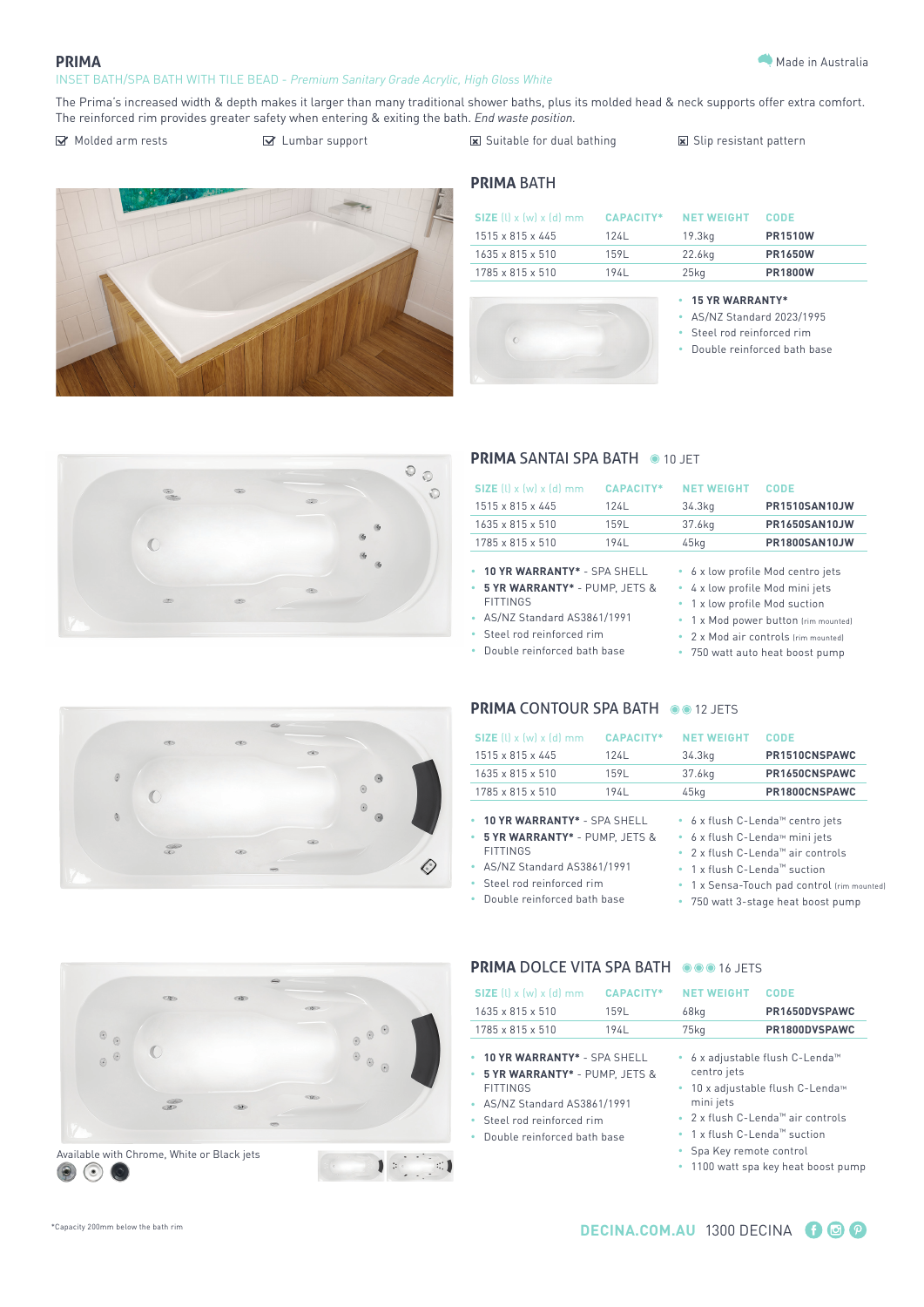#### **PRIMA**

#### INSET BATH/SPA BATH WITH TILE BEAD - *Premium Sanitary Grade Acrylic, High Gloss White*

Molded arm rests Sull Lumbar support Suitable for dual bathing Suitable for dual bathing Suip resistant pattern



## **PRIMA** BATH

| $SIZE$ (l) x (w) x (d) mm    | CAPACITY* | <b>NET WEIGHT</b> | <b>CODE</b>    |
|------------------------------|-----------|-------------------|----------------|
| 1515 x 815 x 445             | 124L      | 19.3ka            | <b>PR1510W</b> |
| $1635 \times 815 \times 510$ | 1591      | 22.6ka            | <b>PR1650W</b> |
| 1785 x 815 x 510             | 194L      | $25$ kg           | <b>PR1800W</b> |



#### **• 15 YR WARRANTY\***

• AS/NZ Standard 2023/1995

- Steel rod reinforced rim
- Double reinforced bath base



#### **PRIMA SANTAI SPA BATH @ 10 JFT**

| CAPACITY*                                     | <b>NET WEIGHT</b>           | <b>CODE</b>                       |
|-----------------------------------------------|-----------------------------|-----------------------------------|
| 124L                                          | 34.3kg                      | <b>PR1510SAN10JW</b>              |
| 159L                                          | 37.6kg                      | <b>PR1650SAN10JW</b>              |
| 194L                                          | 45kg                        | PR1800SAN10JW                     |
| • 10 YR WARRANTY* - SPA SHELL<br>DIIMD IETC 9 | a Lylownsofile Med minijete | • 6 x low profile Mod centro jets |
|                                               |                             |                                   |

- **• 5 YR WARRANTY\*** PUMP, JETS &
- FITTINGS
- AS/NZ Standard AS3861/1991
- Steel rod reinforced rim • Double reinforced bath base
- 4 x low profile Mod mini jets
- 1 x low profile Mod suction
- 1 x Mod power button (rim mounted)
- 2 x Mod air controls (rim mounted)
- 750 watt auto heat boost pump

# **PRIMA CONTOUR SPA BATH 00 12 JETS**

| SIZE $(l)$ x $(w)$ x $(d)$ mm   | <b>CAPACITY*</b> | <b>NET WEIGHT</b>                        | <b>CODE</b>                                          |  |  |
|---------------------------------|------------------|------------------------------------------|------------------------------------------------------|--|--|
| $1515 \times 815 \times 445$    | 124L             | 34.3kg                                   | PR1510CNSPAWC                                        |  |  |
| 1635 x 815 x 510                | 159L             | 37.6kg                                   | PR1650CNSPAWC                                        |  |  |
| 1785 x 815 x 510                | 194L             | $45$ kg                                  | PR1800CNSPAWC                                        |  |  |
| 10 YR WARRANTY* - SPA SHELL     |                  | • 6 x flush C-Lenda™ centro jets         |                                                      |  |  |
| • 5 YR WARRANTY* - PUMP, JETS & |                  | • 6 x flush C-Lenda™ mini jets           |                                                      |  |  |
| <b>FITTINGS</b>                 |                  |                                          | • $2 \times$ flush C-Lenda <sup>™</sup> air controls |  |  |
| • AS/NZ Standard AS3861/1991    |                  | • 1 x flush C-Lenda <sup>m</sup> suction |                                                      |  |  |

- Steel rod reinforced rim
- Double reinforced bath base
- 
- 1 x Sensa-Touch pad control (rim mounted)
- 
- 750 watt 3-stage heat boost pump



| SIZE $(l)$ x $(w)$ x $(d)$ mm<br>$1635 \times 815 \times 510$                                                                                                              | <b>CAPACITY*</b><br>159L | <b>NET WEIGHT</b><br>68kg                                                                    | CODE<br>PR1650DVSPAWC                                                                                                                                   |
|----------------------------------------------------------------------------------------------------------------------------------------------------------------------------|--------------------------|----------------------------------------------------------------------------------------------|---------------------------------------------------------------------------------------------------------------------------------------------------------|
| 1785 x 815 x 510                                                                                                                                                           | 194L                     | $75$ kg                                                                                      | PR1800DVSPAWC                                                                                                                                           |
| 10 YR WARRANTY* - SPA SHELL<br>5 YR WARRANTY* - PUMP. JETS &<br><b>FITTINGS</b><br>• AS/NZ Standard AS3861/1991<br>Steel rod reinforced rim<br>Double reinforced bath base |                          | centro jets<br>٠<br>mini jets<br>• 1 x flush C-Lenda™ suction<br>Spa Key remote control<br>۰ | • 6 x adjustable flush C-Lenda <sup>™</sup><br>10 x adjustable flush C-Lenda™<br>• 2 x flush C-Lenda™ air controls<br>1100 watt spa key heat boost pump |